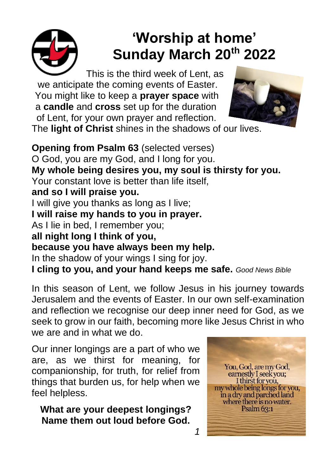

# **'Worship at home' Sunday March 20th 2022**

This is the third week of Lent, as we anticipate the coming events of Easter. You might like to keep a **prayer space** with a **candle** and **cross** set up for the duration of Lent, for your own prayer and reflection.



The **light of Christ** shines in the shadows of our lives.

**Opening from Psalm 63** (selected verses) O God, you are my God, and I long for you. **My whole being desires you, my soul is thirsty for you.** Your constant love is better than life itself, **and so I will praise you.** I will give you thanks as long as I live; **I will raise my hands to you in prayer.** As I lie in bed, I remember you; **all night long I think of you, because you have always been my help.**  In the shadow of your wings I sing for joy. **I cling to you, and your hand keeps me safe.** *Good News Bible*

In this season of Lent, we follow Jesus in his journey towards Jerusalem and the events of Easter. In our own self-examination and reflection we recognise our deep inner need for God, as we seek to grow in our faith, becoming more like Jesus Christ in who we are and in what we do.

*1*

Our inner longings are a part of who we are, as we thirst for meaning, for companionship, for truth, for relief from things that burden us, for help when we feel helpless.

**What are your deepest longings? Name them out loud before God.**

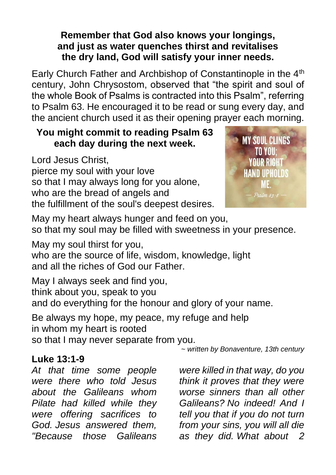#### **Remember that God also knows your longings, and just as water quenches thirst and revitalises the dry land, God will satisfy your inner needs.**

Early Church Father and Archbishop of Constantinople in the 4<sup>th</sup> century, John Chrysostom, observed that "the spirit and soul of the whole Book of Psalms is contracted into this Psalm", referring to Psalm 63. He encouraged it to be read or sung every day, and the ancient church used it as their opening prayer each morning.

### **You might commit to reading Psalm 63 each day during the next week.**

Lord Jesus Christ, pierce my soul with your love so that I may always long for you alone, who are the bread of angels and the fulfillment of the soul's deepest desires.



May my heart always hunger and feed on you, so that my soul may be filled with sweetness in your presence.

May my soul thirst for you,

who are the source of life, wisdom, knowledge, light and all the riches of God our Father.

May I always seek and find you, think about you, speak to you and do everything for the honour and glory of your name.

Be always my hope, my peace, my refuge and help in whom my heart is rooted so that I may never separate from you.

*~ written by Bonaventure, 13th century*

### **Luke 13:1-9**

*At that time some people were there who told Jesus about the Galileans whom Pilate had killed while they were offering sacrifices to God. Jesus answered them, "Because those Galileans* 

*were killed in that way, do you think it proves that they were worse sinners than all other Galileans? No indeed! And I tell you that if you do not turn from your sins, you will all die as they did. What about 2*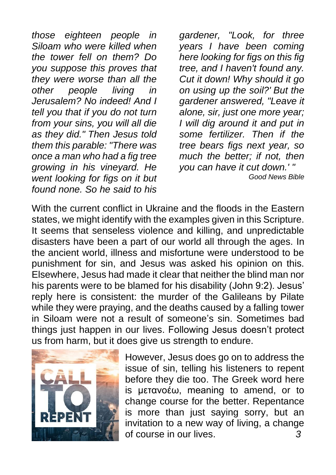*those eighteen people in Siloam who were killed when the tower fell on them? Do you suppose this proves that they were worse than all the other people living in Jerusalem? No indeed! And I tell you that if you do not turn from your sins, you will all die as they did." Then Jesus told them this parable: "There was once a man who had a fig tree growing in his vineyard. He went looking for figs on it but found none. So he said to his* 

*gardener, "Look, for three years I have been coming here looking for figs on this fig tree, and I haven't found any. Cut it down! Why should it go on using up the soil?' But the gardener answered, "Leave it alone, sir, just one more year; I will dig around it and put in some fertilizer. Then if the tree bears figs next year, so much the better; if not, then you can have it cut down.' " Good News Bible*

With the current conflict in Ukraine and the floods in the Eastern states, we might identify with the examples given in this Scripture. It seems that senseless violence and killing, and unpredictable disasters have been a part of our world all through the ages. In the ancient world, illness and misfortune were understood to be punishment for sin, and Jesus was asked his opinion on this. Elsewhere, Jesus had made it clear that neither the blind man nor his parents were to be blamed for his disability (John 9:2). Jesus' reply here is consistent: the murder of the Galileans by Pilate while they were praying, and the deaths caused by a falling tower in Siloam were not a result of someone's sin. Sometimes bad things just happen in our lives. Following Jesus doesn't protect us from harm, but it does give us strength to endure.



However, Jesus does go on to address the issue of sin, telling his listeners to repent before they die too. The Greek word here is μετανοέω, meaning to amend, or to change course for the better. Repentance is more than just saying sorry, but an invitation to a new way of living, a change of course in our lives. *3*